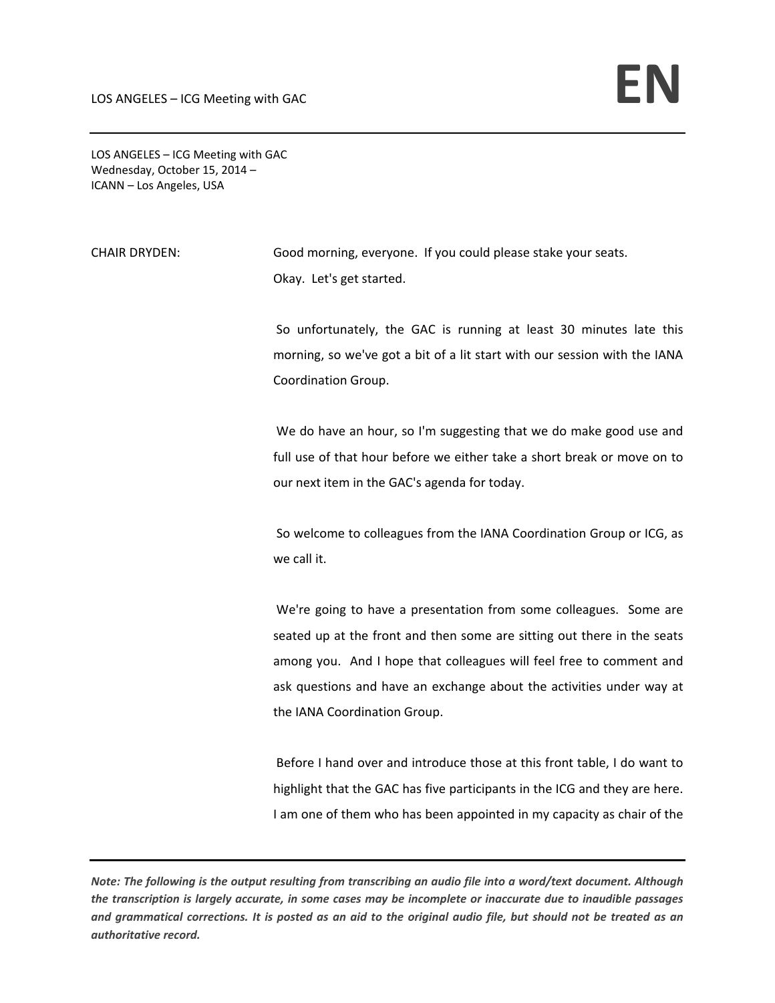LOS ANGELES – ICG Meeting with GAC Wednesday, October 15, 2014 – ICANN – Los Angeles, USA

CHAIR DRYDEN: Good morning, everyone. If you could please stake your seats. Okay. Let's get started.

> So unfortunately, the GAC is running at least 30 minutes late this morning, so we've got a bit of a lit start with our session with the IANA Coordination Group.

> We do have an hour, so I'm suggesting that we do make good use and full use of that hour before we either take a short break or move on to our next item in the GAC's agenda for today.

> So welcome to colleagues from the IANA Coordination Group or ICG, as we call it.

> We're going to have a presentation from some colleagues. Some are seated up at the front and then some are sitting out there in the seats among you. And I hope that colleagues will feel free to comment and ask questions and have an exchange about the activities under way at the IANA Coordination Group.

> Before I hand over and introduce those at this front table, I do want to highlight that the GAC has five participants in the ICG and they are here. I am one of them who has been appointed in my capacity as chair of the

Note: The following is the output resulting from transcribing an audio file into a word/text document. Although the transcription is largely accurate, in some cases may be incomplete or inaccurate due to inaudible passages and grammatical corrections. It is posted as an aid to the original audio file, but should not be treated as an *authoritative record.*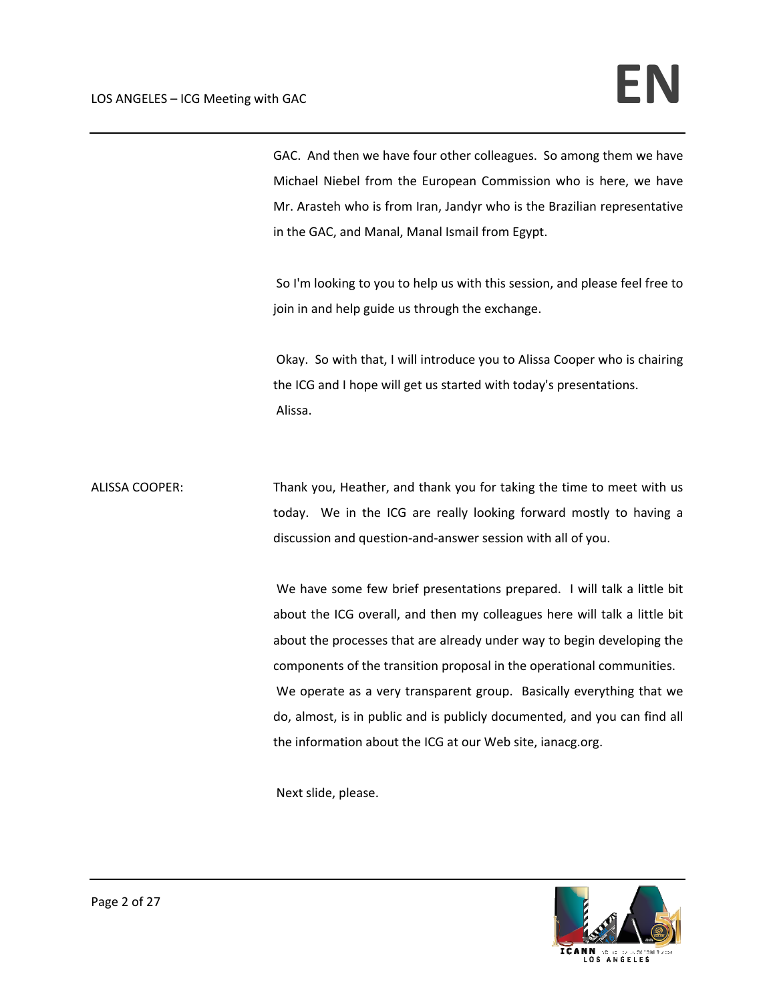GAC. And then we have four other colleagues. So among them we have Michael Niebel from the European Commission who is here, we have Mr. Arasteh who is from Iran, Jandyr who is the Brazilian representative in the GAC, and Manal, Manal Ismail from Egypt.

So I'm looking to you to help us with this session, and please feel free to join in and help guide us through the exchange.

Okay. So with that, I will introduce you to Alissa Cooper who is chairing the ICG and I hope will get us started with today's presentations. Alissa.

ALISSA COOPER: Thank you, Heather, and thank you for taking the time to meet with us today. We in the ICG are really looking forward mostly to having a discussion and question‐and‐answer session with all of you.

> We have some few brief presentations prepared. I will talk a little bit about the ICG overall, and then my colleagues here will talk a little bit about the processes that are already under way to begin developing the components of the transition proposal in the operational communities. We operate as a very transparent group. Basically everything that we do, almost, is in public and is publicly documented, and you can find all the information about the ICG at our Web site, ianacg.org.

Next slide, please.

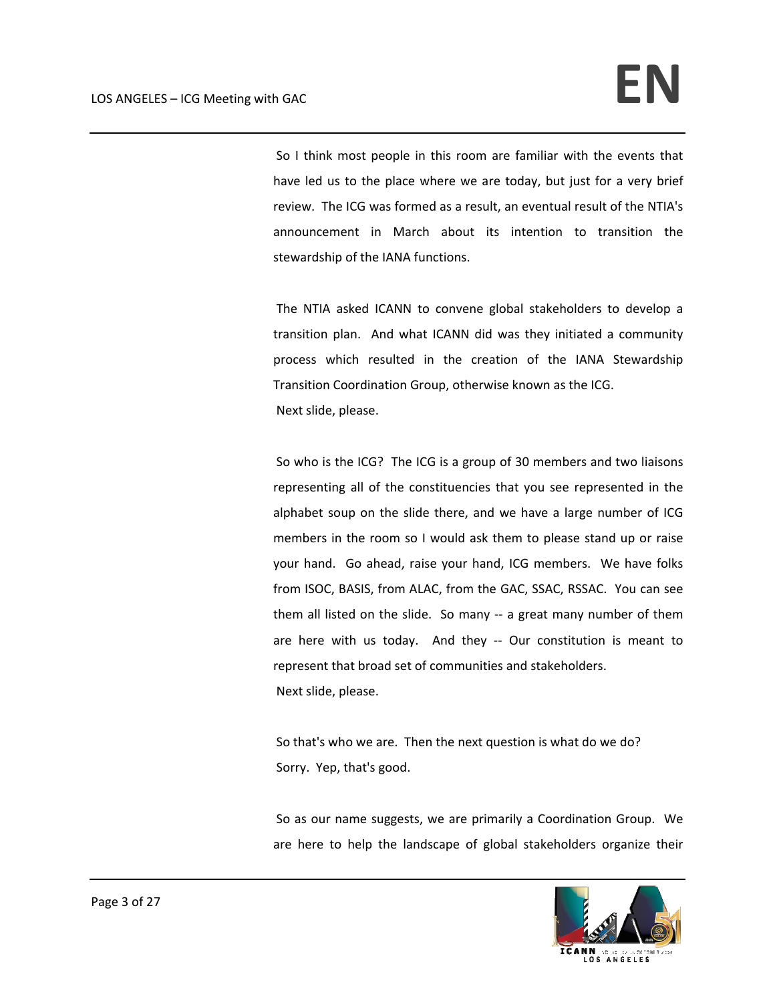So I think most people in this room are familiar with the events that have led us to the place where we are today, but just for a very brief review. The ICG was formed as a result, an eventual result of the NTIA's announcement in March about its intention to transition the stewardship of the IANA functions.

The NTIA asked ICANN to convene global stakeholders to develop a transition plan. And what ICANN did was they initiated a community process which resulted in the creation of the IANA Stewardship Transition Coordination Group, otherwise known as the ICG. Next slide, please.

So who is the ICG? The ICG is a group of 30 members and two liaisons representing all of the constituencies that you see represented in the alphabet soup on the slide there, and we have a large number of ICG members in the room so I would ask them to please stand up or raise your hand. Go ahead, raise your hand, ICG members. We have folks from ISOC, BASIS, from ALAC, from the GAC, SSAC, RSSAC. You can see them all listed on the slide. So many ‐‐ a great many number of them are here with us today. And they -- Our constitution is meant to represent that broad set of communities and stakeholders. Next slide, please.

So that's who we are. Then the next question is what do we do? Sorry. Yep, that's good.

So as our name suggests, we are primarily a Coordination Group. We are here to help the landscape of global stakeholders organize their

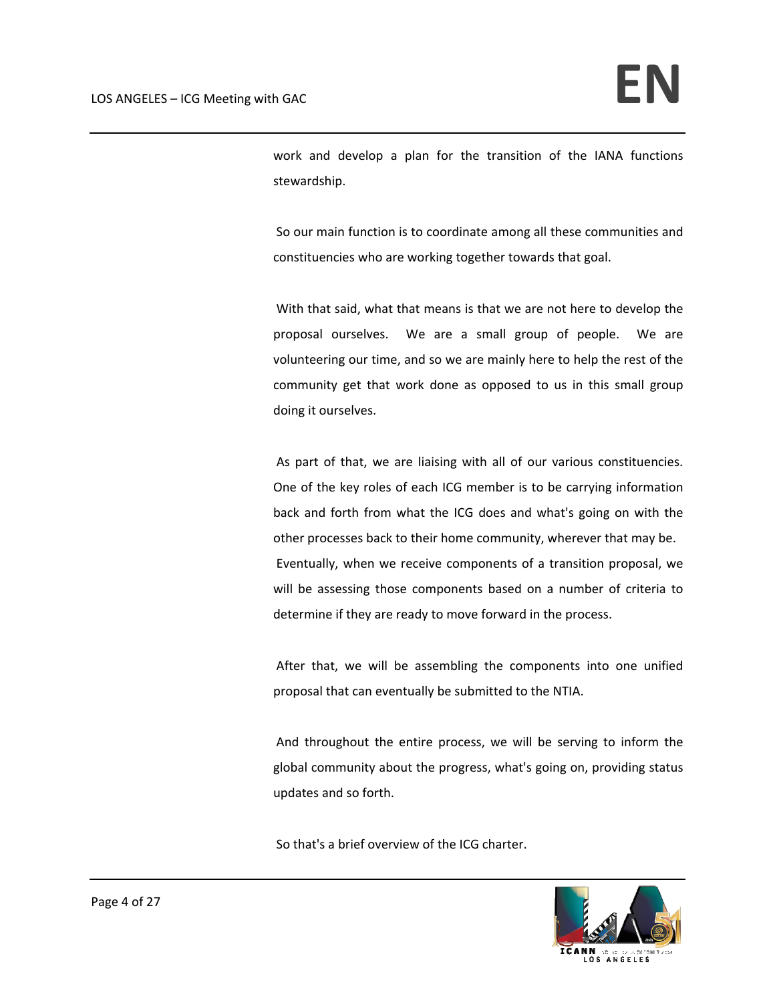work and develop a plan for the transition of the IANA functions stewardship.

So our main function is to coordinate among all these communities and constituencies who are working together towards that goal.

With that said, what that means is that we are not here to develop the proposal ourselves. We are a small group of people. We are volunteering our time, and so we are mainly here to help the rest of the community get that work done as opposed to us in this small group doing it ourselves.

As part of that, we are liaising with all of our various constituencies. One of the key roles of each ICG member is to be carrying information back and forth from what the ICG does and what's going on with the other processes back to their home community, wherever that may be. Eventually, when we receive components of a transition proposal, we will be assessing those components based on a number of criteria to determine if they are ready to move forward in the process.

After that, we will be assembling the components into one unified proposal that can eventually be submitted to the NTIA.

And throughout the entire process, we will be serving to inform the global community about the progress, what's going on, providing status updates and so forth.

So that's a brief overview of the ICG charter.

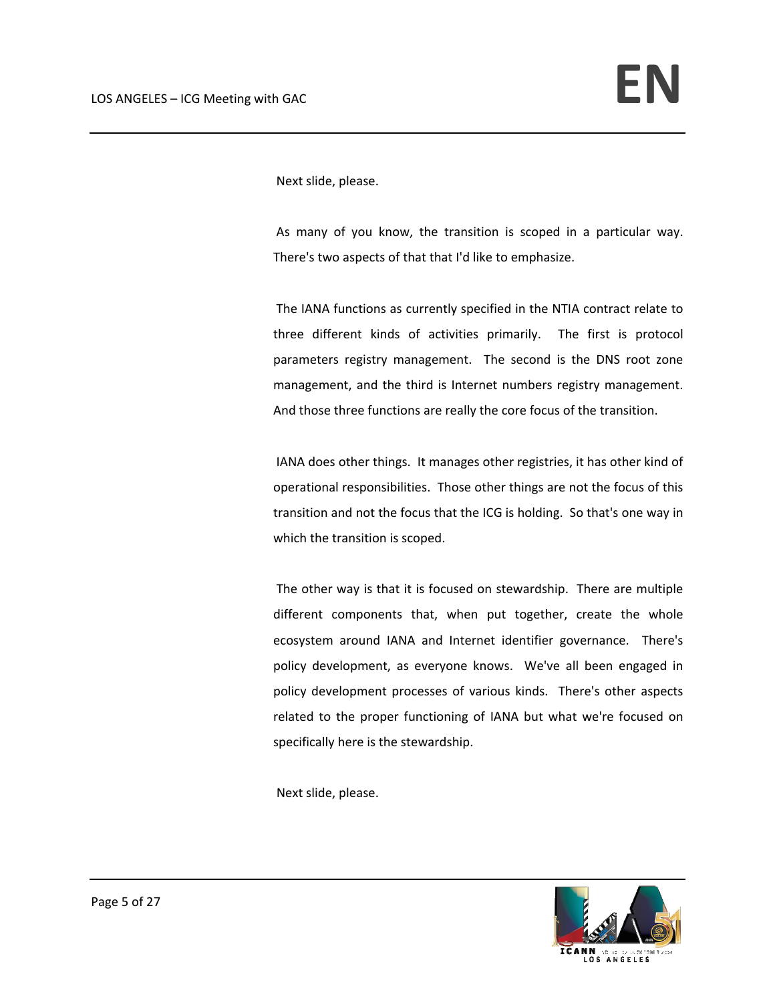Next slide, please.

As many of you know, the transition is scoped in a particular way. There's two aspects of that that I'd like to emphasize.

The IANA functions as currently specified in the NTIA contract relate to three different kinds of activities primarily. The first is protocol parameters registry management. The second is the DNS root zone management, and the third is Internet numbers registry management. And those three functions are really the core focus of the transition.

IANA does other things. It manages other registries, it has other kind of operational responsibilities. Those other things are not the focus of this transition and not the focus that the ICG is holding. So that's one way in which the transition is scoped.

The other way is that it is focused on stewardship. There are multiple different components that, when put together, create the whole ecosystem around IANA and Internet identifier governance. There's policy development, as everyone knows. We've all been engaged in policy development processes of various kinds. There's other aspects related to the proper functioning of IANA but what we're focused on specifically here is the stewardship.

Next slide, please.

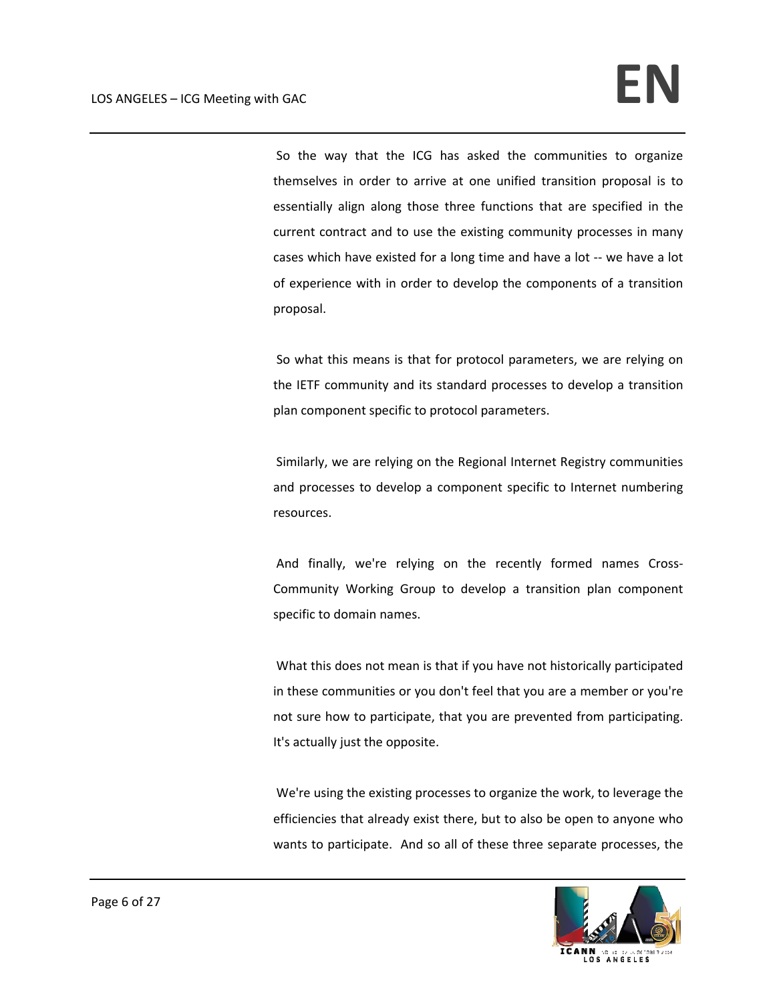So the way that the ICG has asked the communities to organize themselves in order to arrive at one unified transition proposal is to essentially align along those three functions that are specified in the current contract and to use the existing community processes in many cases which have existed for a long time and have a lot ‐‐ we have a lot of experience with in order to develop the components of a transition proposal.

So what this means is that for protocol parameters, we are relying on the IETF community and its standard processes to develop a transition plan component specific to protocol parameters.

Similarly, we are relying on the Regional Internet Registry communities and processes to develop a component specific to Internet numbering resources.

And finally, we're relying on the recently formed names Cross‐ Community Working Group to develop a transition plan component specific to domain names.

What this does not mean is that if you have not historically participated in these communities or you don't feel that you are a member or you're not sure how to participate, that you are prevented from participating. It's actually just the opposite.

We're using the existing processes to organize the work, to leverage the efficiencies that already exist there, but to also be open to anyone who wants to participate. And so all of these three separate processes, the

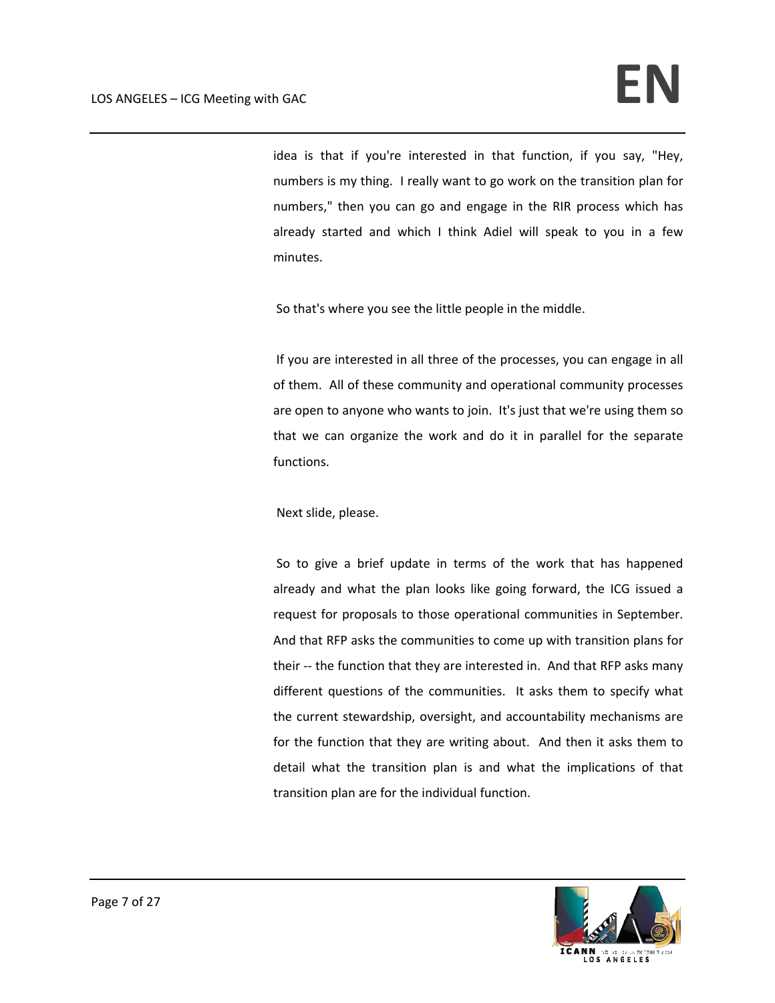idea is that if you're interested in that function, if you say, "Hey, numbers is my thing. I really want to go work on the transition plan for numbers," then you can go and engage in the RIR process which has already started and which I think Adiel will speak to you in a few minutes.

So that's where you see the little people in the middle.

If you are interested in all three of the processes, you can engage in all of them. All of these community and operational community processes are open to anyone who wants to join. It's just that we're using them so that we can organize the work and do it in parallel for the separate functions.

Next slide, please.

So to give a brief update in terms of the work that has happened already and what the plan looks like going forward, the ICG issued a request for proposals to those operational communities in September. And that RFP asks the communities to come up with transition plans for their -- the function that they are interested in. And that RFP asks many different questions of the communities. It asks them to specify what the current stewardship, oversight, and accountability mechanisms are for the function that they are writing about. And then it asks them to detail what the transition plan is and what the implications of that transition plan are for the individual function.

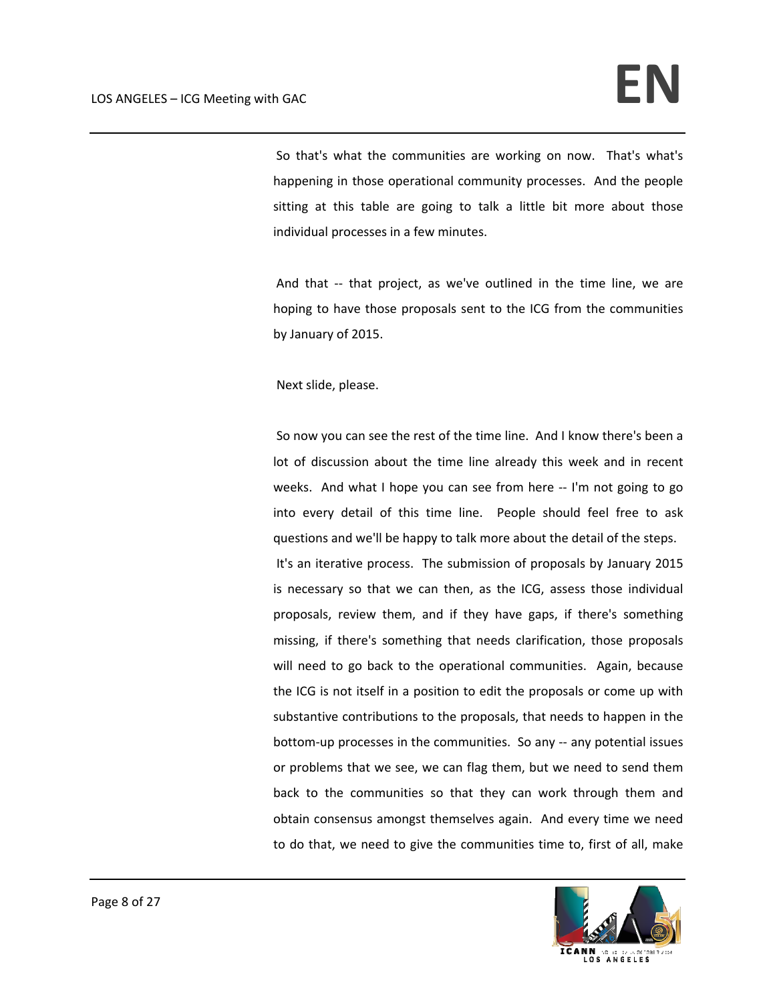So that's what the communities are working on now. That's what's happening in those operational community processes. And the people sitting at this table are going to talk a little bit more about those individual processes in a few minutes.

And that -- that project, as we've outlined in the time line, we are hoping to have those proposals sent to the ICG from the communities by January of 2015.

Next slide, please.

So now you can see the rest of the time line. And I know there's been a lot of discussion about the time line already this week and in recent weeks. And what I hope you can see from here -- I'm not going to go into every detail of this time line. People should feel free to ask questions and we'll be happy to talk more about the detail of the steps. It's an iterative process. The submission of proposals by January 2015 is necessary so that we can then, as the ICG, assess those individual proposals, review them, and if they have gaps, if there's something missing, if there's something that needs clarification, those proposals will need to go back to the operational communities. Again, because the ICG is not itself in a position to edit the proposals or come up with substantive contributions to the proposals, that needs to happen in the bottom‐up processes in the communities. So any ‐‐ any potential issues or problems that we see, we can flag them, but we need to send them back to the communities so that they can work through them and obtain consensus amongst themselves again. And every time we need to do that, we need to give the communities time to, first of all, make

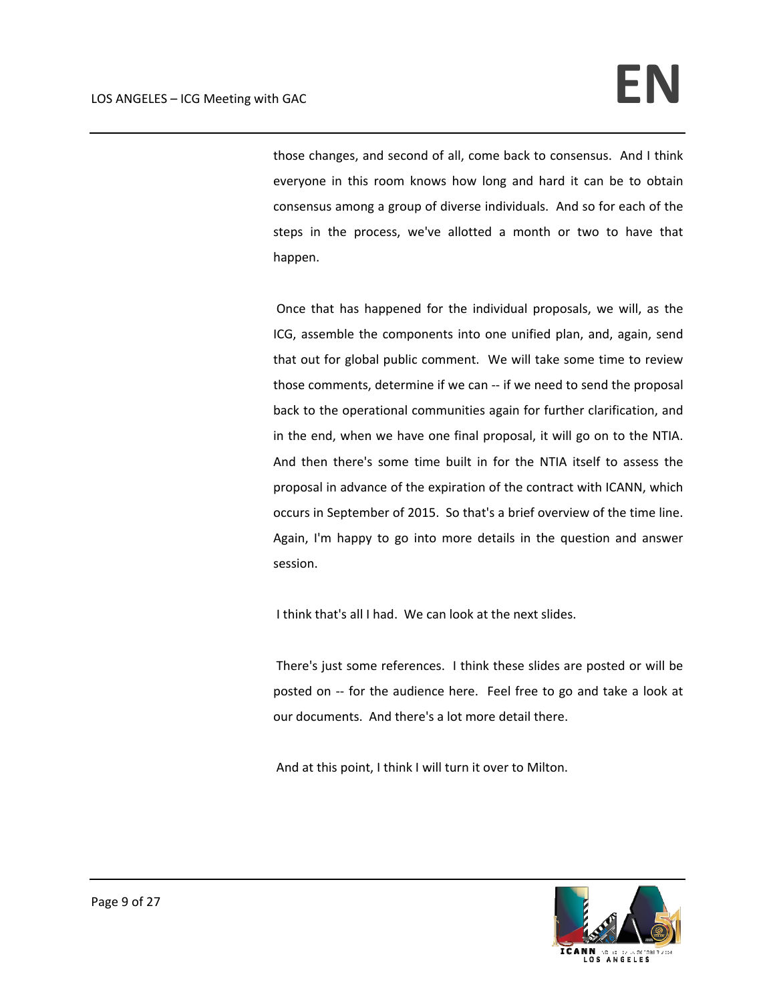those changes, and second of all, come back to consensus. And I think everyone in this room knows how long and hard it can be to obtain consensus among a group of diverse individuals. And so for each of the steps in the process, we've allotted a month or two to have that happen.

Once that has happened for the individual proposals, we will, as the ICG, assemble the components into one unified plan, and, again, send that out for global public comment. We will take some time to review those comments, determine if we can ‐‐ if we need to send the proposal back to the operational communities again for further clarification, and in the end, when we have one final proposal, it will go on to the NTIA. And then there's some time built in for the NTIA itself to assess the proposal in advance of the expiration of the contract with ICANN, which occurs in September of 2015. So that's a brief overview of the time line. Again, I'm happy to go into more details in the question and answer session.

I think that's all I had. We can look at the next slides.

There's just some references. I think these slides are posted or will be posted on -- for the audience here. Feel free to go and take a look at our documents. And there's a lot more detail there.

And at this point, I think I will turn it over to Milton.

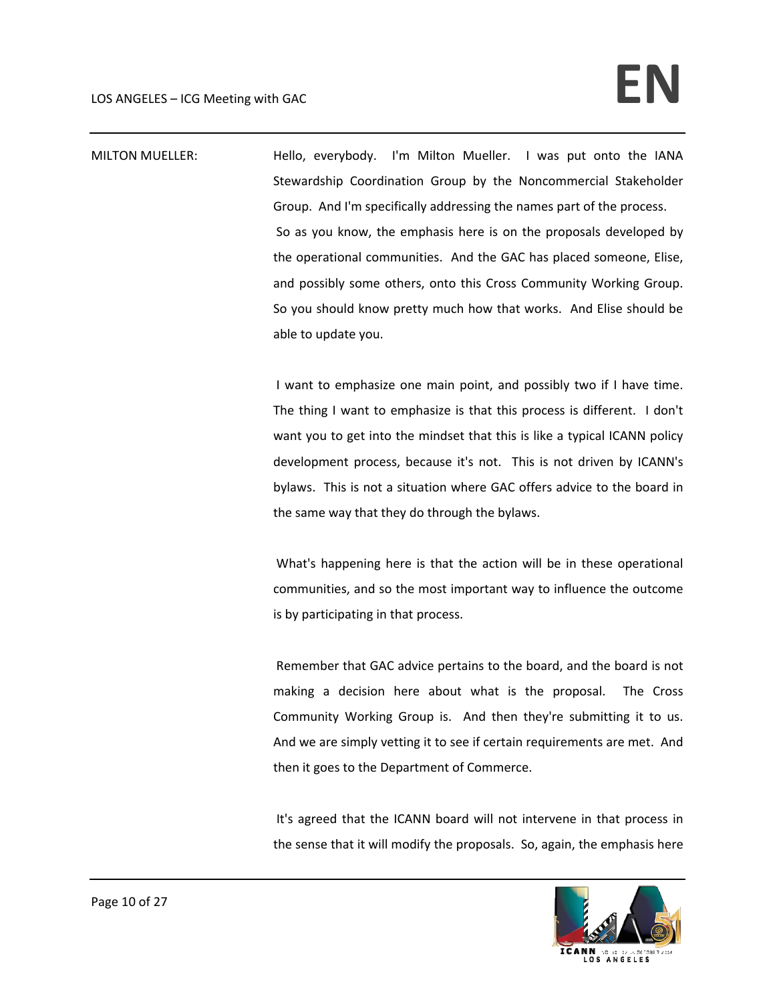MILTON MUELLER: Hello, everybody. I'm Milton Mueller. I was put onto the IANA Stewardship Coordination Group by the Noncommercial Stakeholder Group. And I'm specifically addressing the names part of the process. So as you know, the emphasis here is on the proposals developed by the operational communities. And the GAC has placed someone, Elise, and possibly some others, onto this Cross Community Working Group. So you should know pretty much how that works. And Elise should be able to update you.

> I want to emphasize one main point, and possibly two if I have time. The thing I want to emphasize is that this process is different. I don't want you to get into the mindset that this is like a typical ICANN policy development process, because it's not. This is not driven by ICANN's bylaws. This is not a situation where GAC offers advice to the board in the same way that they do through the bylaws.

> What's happening here is that the action will be in these operational communities, and so the most important way to influence the outcome is by participating in that process.

> Remember that GAC advice pertains to the board, and the board is not making a decision here about what is the proposal. The Cross Community Working Group is. And then they're submitting it to us. And we are simply vetting it to see if certain requirements are met. And then it goes to the Department of Commerce.

> It's agreed that the ICANN board will not intervene in that process in the sense that it will modify the proposals. So, again, the emphasis here

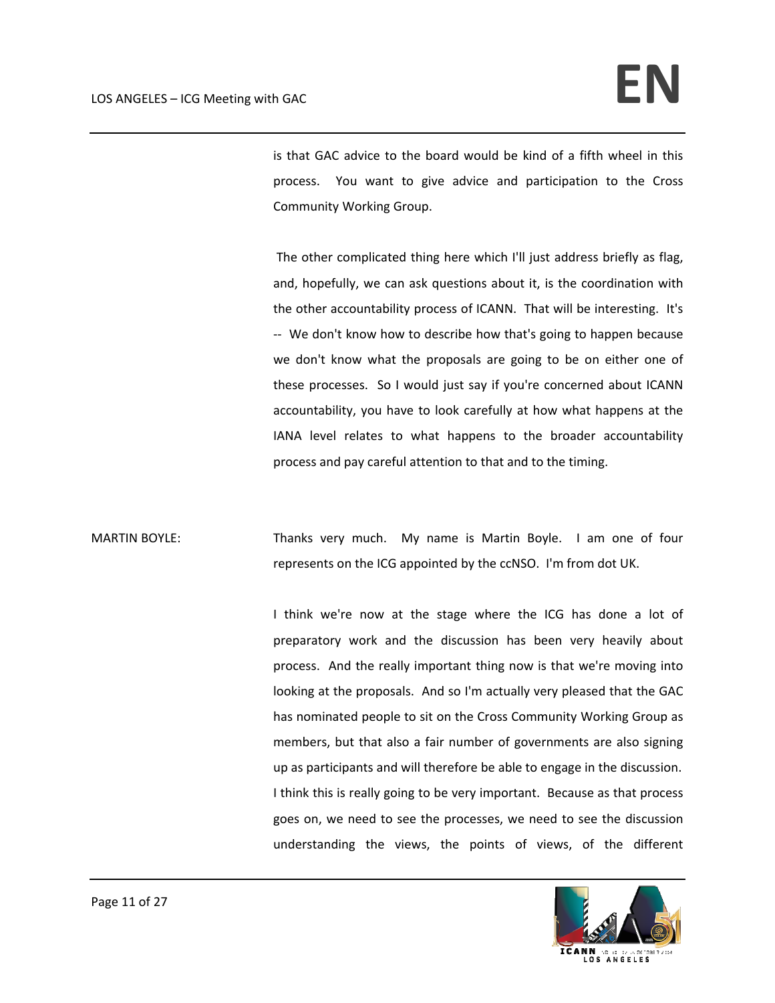is that GAC advice to the board would be kind of a fifth wheel in this process. You want to give advice and participation to the Cross Community Working Group.

The other complicated thing here which I'll just address briefly as flag, and, hopefully, we can ask questions about it, is the coordination with the other accountability process of ICANN. That will be interesting. It's ‐‐ We don't know how to describe how that's going to happen because we don't know what the proposals are going to be on either one of these processes. So I would just say if you're concerned about ICANN accountability, you have to look carefully at how what happens at the IANA level relates to what happens to the broader accountability process and pay careful attention to that and to the timing.

MARTIN BOYLE: Thanks very much. My name is Martin Boyle. I am one of four represents on the ICG appointed by the ccNSO. I'm from dot UK.

> I think we're now at the stage where the ICG has done a lot of preparatory work and the discussion has been very heavily about process. And the really important thing now is that we're moving into looking at the proposals. And so I'm actually very pleased that the GAC has nominated people to sit on the Cross Community Working Group as members, but that also a fair number of governments are also signing up as participants and will therefore be able to engage in the discussion. I think this is really going to be very important. Because as that process goes on, we need to see the processes, we need to see the discussion understanding the views, the points of views, of the different

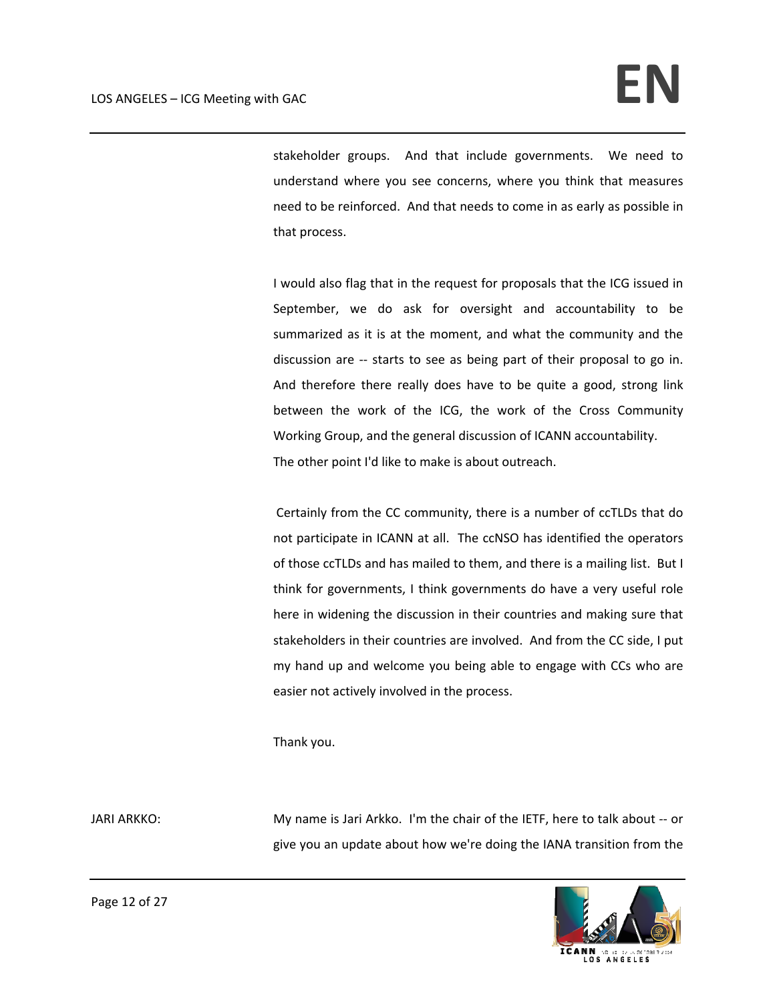stakeholder groups. And that include governments. We need to understand where you see concerns, where you think that measures need to be reinforced. And that needs to come in as early as possible in that process.

I would also flag that in the request for proposals that the ICG issued in September, we do ask for oversight and accountability to be summarized as it is at the moment, and what the community and the discussion are -- starts to see as being part of their proposal to go in. And therefore there really does have to be quite a good, strong link between the work of the ICG, the work of the Cross Community Working Group, and the general discussion of ICANN accountability. The other point I'd like to make is about outreach.

Certainly from the CC community, there is a number of ccTLDs that do not participate in ICANN at all. The ccNSO has identified the operators of those ccTLDs and has mailed to them, and there is a mailing list. But I think for governments, I think governments do have a very useful role here in widening the discussion in their countries and making sure that stakeholders in their countries are involved. And from the CC side, I put my hand up and welcome you being able to engage with CCs who are easier not actively involved in the process.

Thank you.

JARI ARKKO: **My name is Jari Arkko.** I'm the chair of the IETF, here to talk about -- or give you an update about how we're doing the IANA transition from the

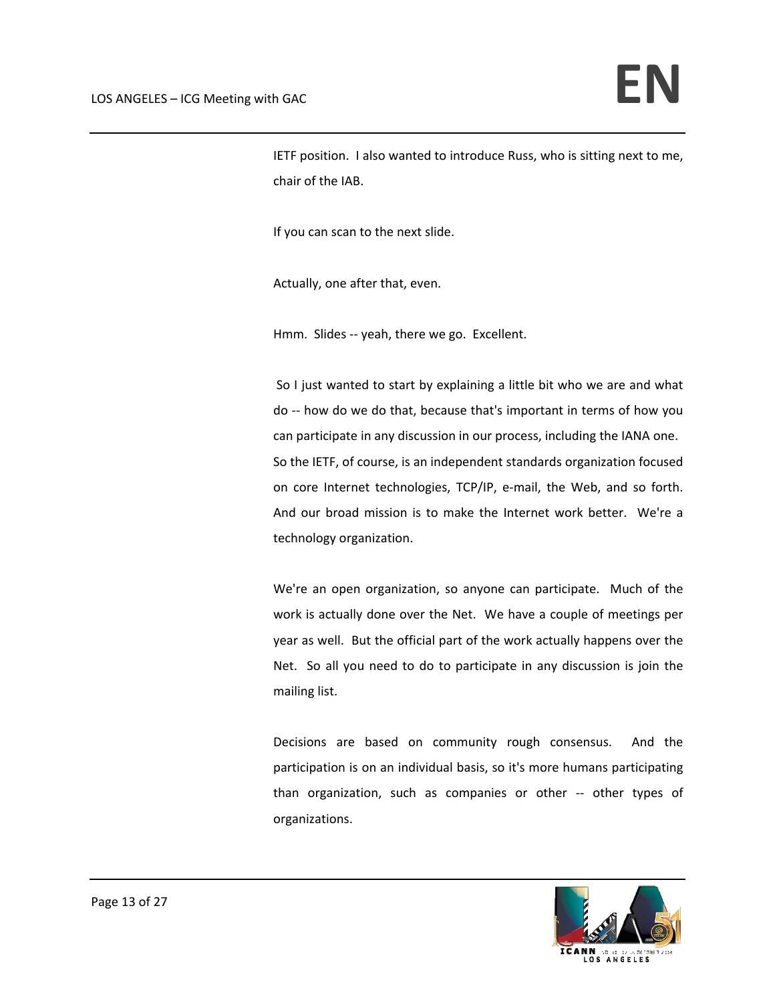IETF position. I also wanted to introduce Russ, who is sitting next to me, chair of the IAB.

If you can scan to the next slide.

Actually, one after that, even.

Hmm. Slides -- yeah, there we go. Excellent.

So I just wanted to start by explaining a little bit who we are and what do ‐‐ how do we do that, because that's important in terms of how you can participate in any discussion in our process, including the IANA one. So the IETF, of course, is an independent standards organization focused on core Internet technologies, TCP/IP, e‐mail, the Web, and so forth. And our broad mission is to make the Internet work better. We're a technology organization.

We're an open organization, so anyone can participate. Much of the work is actually done over the Net. We have a couple of meetings per year as well. But the official part of the work actually happens over the Net. So all you need to do to participate in any discussion is join the mailing list.

Decisions are based on community rough consensus. And the participation is on an individual basis, so it's more humans participating than organization, such as companies or other ‐‐ other types of organizations.

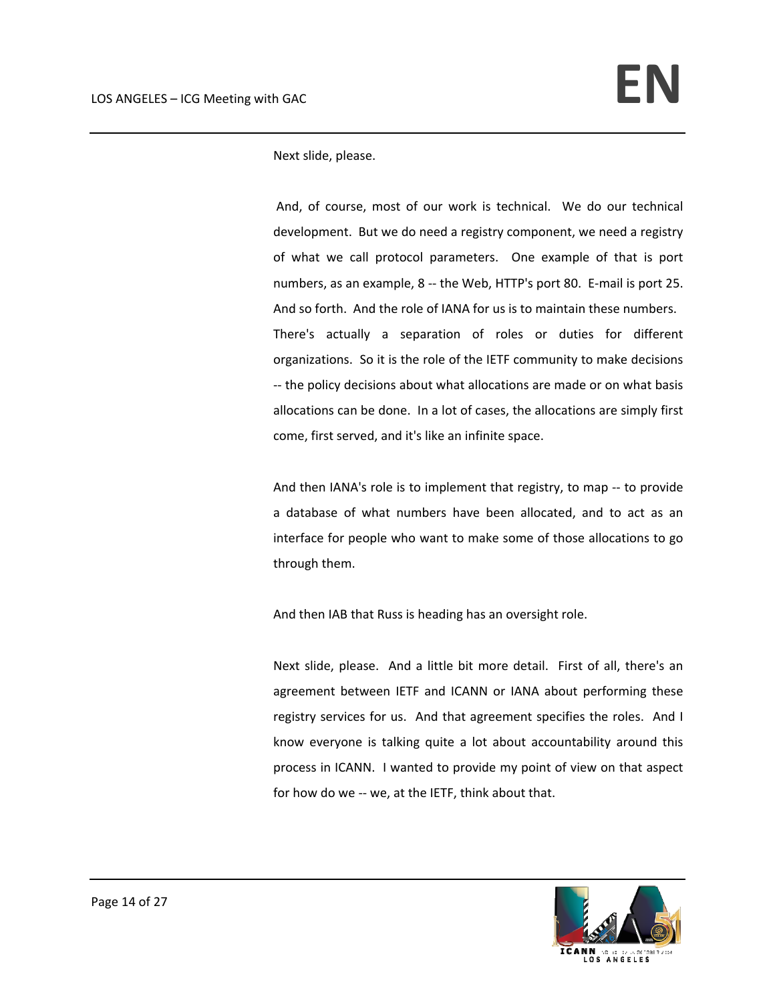Next slide, please.

And, of course, most of our work is technical. We do our technical development. But we do need a registry component, we need a registry of what we call protocol parameters. One example of that is port numbers, as an example, 8 ‐‐ the Web, HTTP's port 80. E‐mail is port 25. And so forth. And the role of IANA for us is to maintain these numbers. There's actually a separation of roles or duties for different organizations. So it is the role of the IETF community to make decisions ‐‐ the policy decisions about what allocations are made or on what basis allocations can be done. In a lot of cases, the allocations are simply first come, first served, and it's like an infinite space.

And then IANA's role is to implement that registry, to map ‐‐ to provide a database of what numbers have been allocated, and to act as an interface for people who want to make some of those allocations to go through them.

And then IAB that Russ is heading has an oversight role.

Next slide, please. And a little bit more detail. First of all, there's an agreement between IETF and ICANN or IANA about performing these registry services for us. And that agreement specifies the roles. And I know everyone is talking quite a lot about accountability around this process in ICANN. I wanted to provide my point of view on that aspect for how do we -- we, at the IETF, think about that.

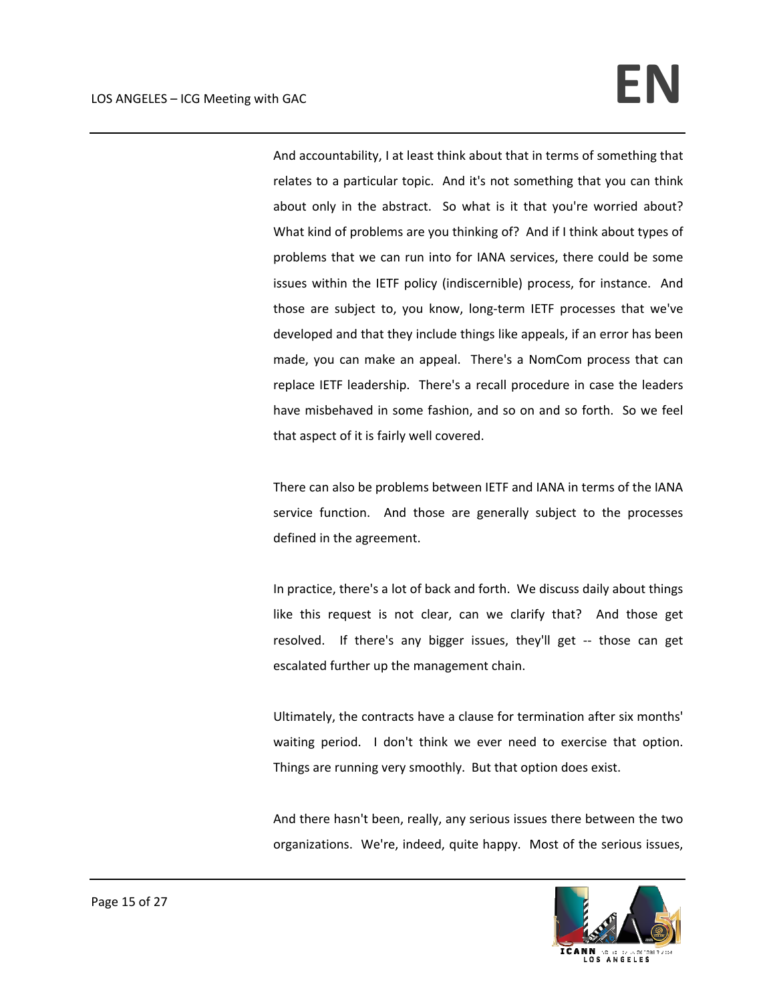And accountability, I at least think about that in terms of something that relates to a particular topic. And it's not something that you can think about only in the abstract. So what is it that you're worried about? What kind of problems are you thinking of? And if I think about types of problems that we can run into for IANA services, there could be some issues within the IETF policy (indiscernible) process, for instance. And those are subject to, you know, long‐term IETF processes that we've developed and that they include things like appeals, if an error has been made, you can make an appeal. There's a NomCom process that can replace IETF leadership. There's a recall procedure in case the leaders have misbehaved in some fashion, and so on and so forth. So we feel that aspect of it is fairly well covered.

There can also be problems between IETF and IANA in terms of the IANA service function. And those are generally subject to the processes defined in the agreement.

In practice, there's a lot of back and forth. We discuss daily about things like this request is not clear, can we clarify that? And those get resolved. If there's any bigger issues, they'll get -- those can get escalated further up the management chain.

Ultimately, the contracts have a clause for termination after six months' waiting period. I don't think we ever need to exercise that option. Things are running very smoothly. But that option does exist.

And there hasn't been, really, any serious issues there between the two organizations. We're, indeed, quite happy. Most of the serious issues,

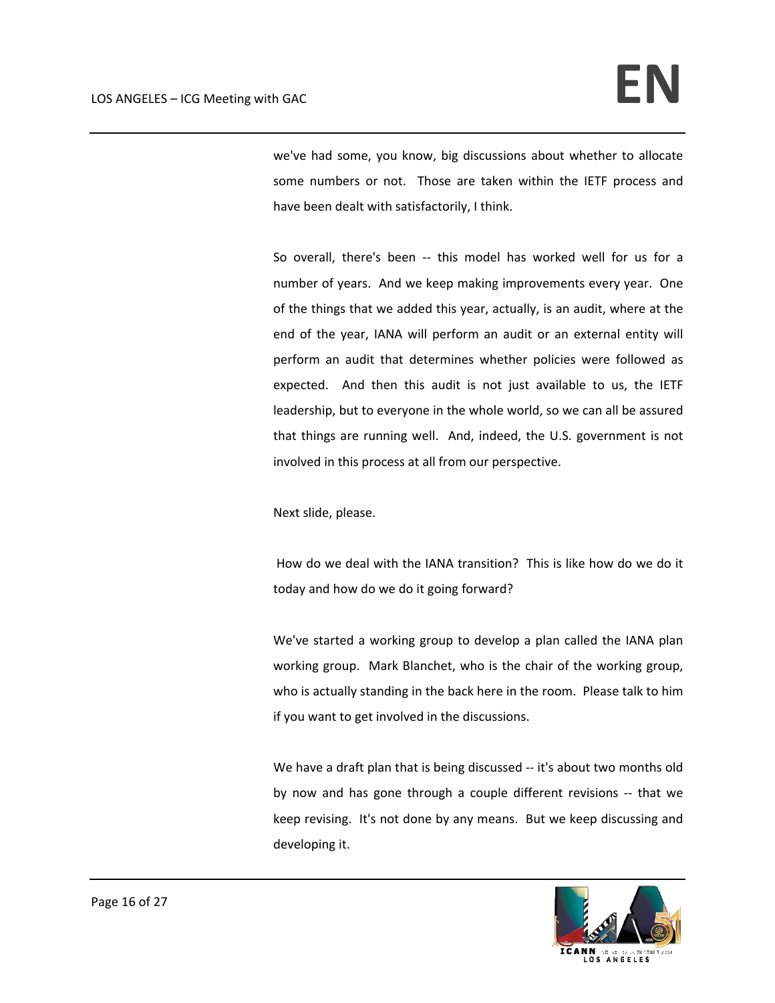we've had some, you know, big discussions about whether to allocate some numbers or not. Those are taken within the IETF process and have been dealt with satisfactorily, I think.

So overall, there's been -- this model has worked well for us for a number of years. And we keep making improvements every year. One of the things that we added this year, actually, is an audit, where at the end of the year, IANA will perform an audit or an external entity will perform an audit that determines whether policies were followed as expected. And then this audit is not just available to us, the IETF leadership, but to everyone in the whole world, so we can all be assured that things are running well. And, indeed, the U.S. government is not involved in this process at all from our perspective.

Next slide, please.

How do we deal with the IANA transition? This is like how do we do it today and how do we do it going forward?

We've started a working group to develop a plan called the IANA plan working group. Mark Blanchet, who is the chair of the working group, who is actually standing in the back here in the room. Please talk to him if you want to get involved in the discussions.

We have a draft plan that is being discussed -- it's about two months old by now and has gone through a couple different revisions ‐‐ that we keep revising. It's not done by any means. But we keep discussing and developing it.

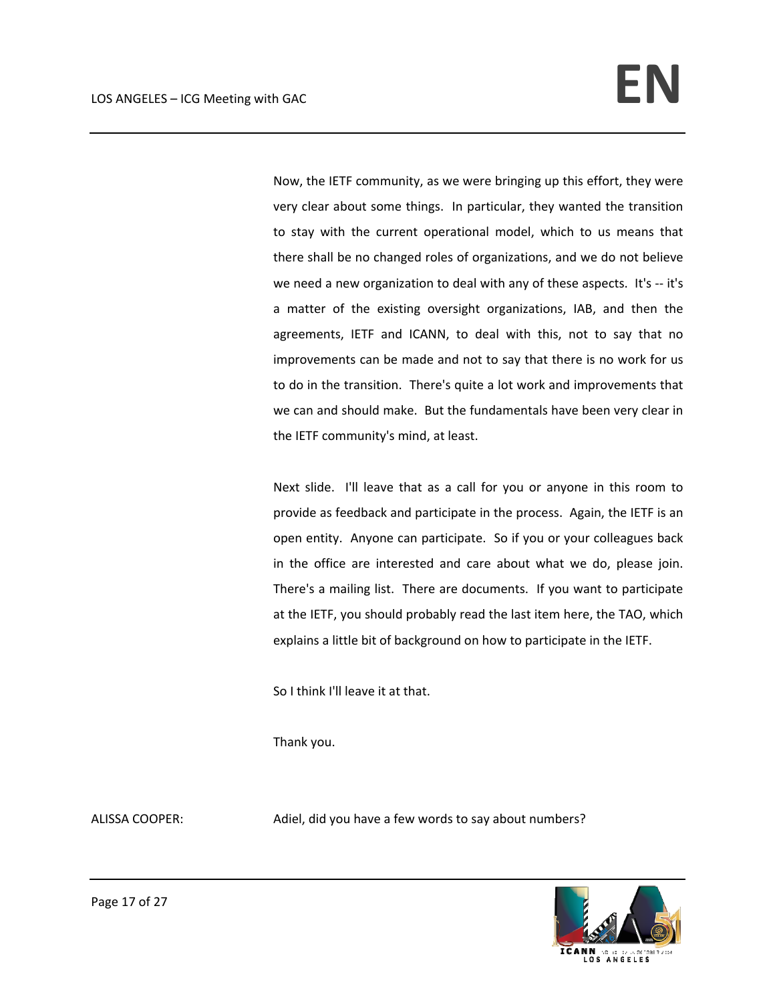Now, the IETF community, as we were bringing up this effort, they were very clear about some things. In particular, they wanted the transition to stay with the current operational model, which to us means that there shall be no changed roles of organizations, and we do not believe we need a new organization to deal with any of these aspects. It's -- it's a matter of the existing oversight organizations, IAB, and then the agreements, IETF and ICANN, to deal with this, not to say that no improvements can be made and not to say that there is no work for us to do in the transition. There's quite a lot work and improvements that we can and should make. But the fundamentals have been very clear in the IETF community's mind, at least.

Next slide. I'll leave that as a call for you or anyone in this room to provide as feedback and participate in the process. Again, the IETF is an open entity. Anyone can participate. So if you or your colleagues back in the office are interested and care about what we do, please join. There's a mailing list. There are documents. If you want to participate at the IETF, you should probably read the last item here, the TAO, which explains a little bit of background on how to participate in the IETF.

So I think I'll leave it at that.

Thank you.

ALISSA COOPER: Adiel, did you have a few words to say about numbers?

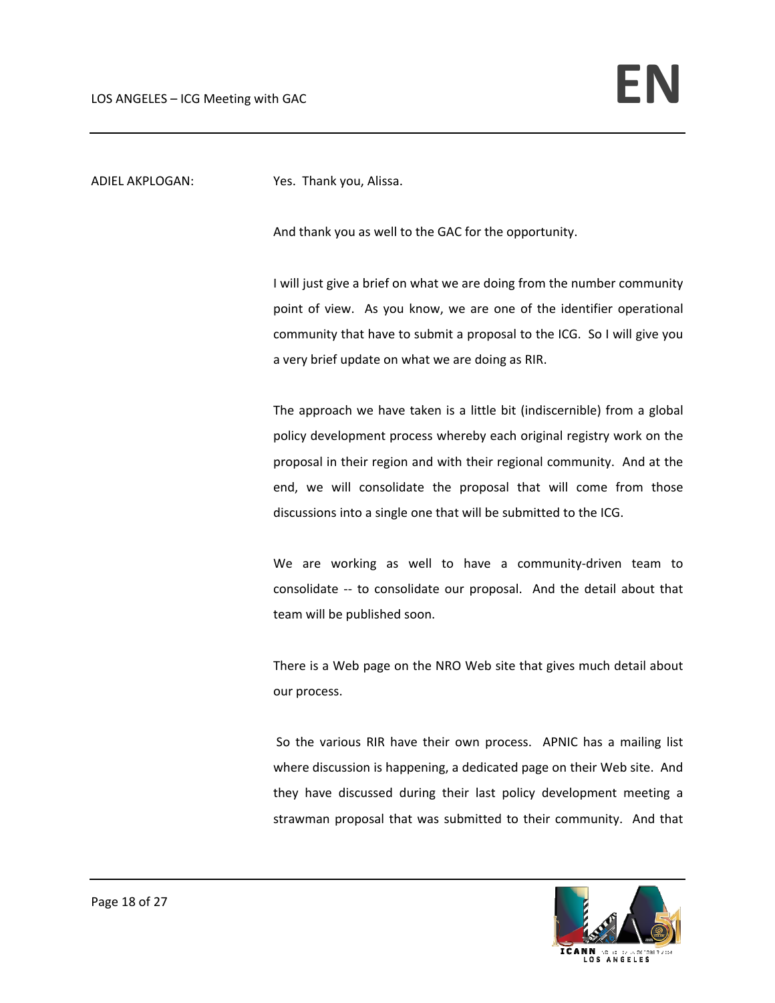ADIEL AKPLOGAN: Yes. Thank you, Alissa.

And thank you as well to the GAC for the opportunity.

I will just give a brief on what we are doing from the number community point of view. As you know, we are one of the identifier operational community that have to submit a proposal to the ICG. So I will give you a very brief update on what we are doing as RIR.

The approach we have taken is a little bit (indiscernible) from a global policy development process whereby each original registry work on the proposal in their region and with their regional community. And at the end, we will consolidate the proposal that will come from those discussions into a single one that will be submitted to the ICG.

We are working as well to have a community-driven team to consolidate ‐‐ to consolidate our proposal. And the detail about that team will be published soon.

There is a Web page on the NRO Web site that gives much detail about our process.

So the various RIR have their own process. APNIC has a mailing list where discussion is happening, a dedicated page on their Web site. And they have discussed during their last policy development meeting a strawman proposal that was submitted to their community. And that

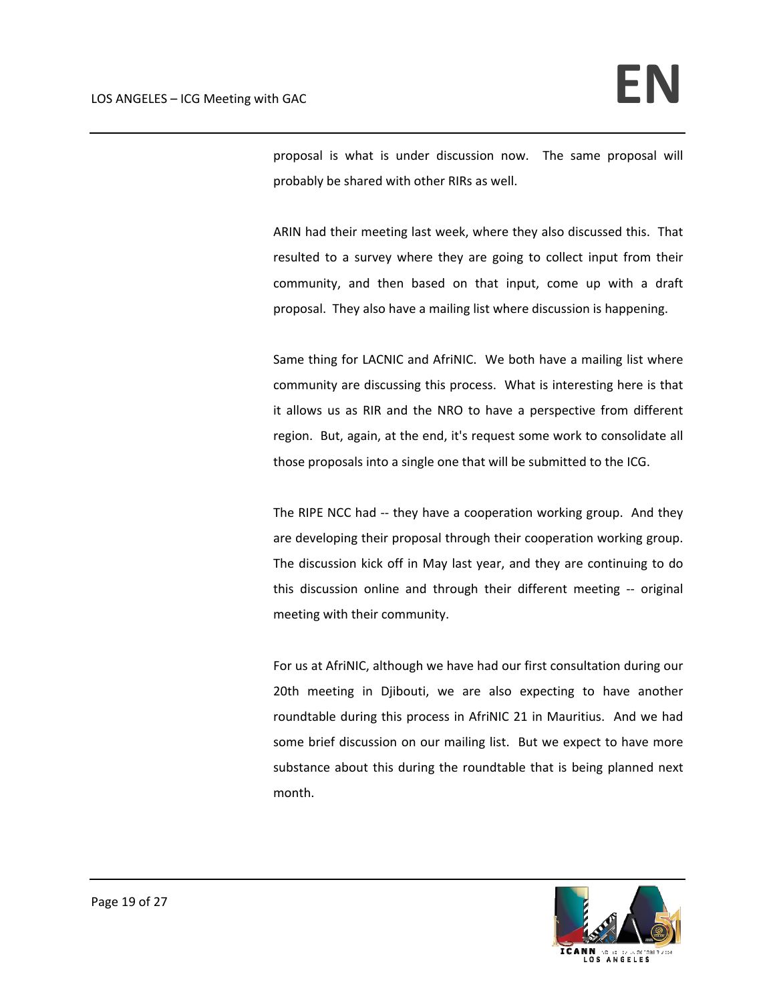proposal is what is under discussion now. The same proposal will probably be shared with other RIRs as well.

ARIN had their meeting last week, where they also discussed this. That resulted to a survey where they are going to collect input from their community, and then based on that input, come up with a draft proposal. They also have a mailing list where discussion is happening.

Same thing for LACNIC and AfriNIC. We both have a mailing list where community are discussing this process. What is interesting here is that it allows us as RIR and the NRO to have a perspective from different region. But, again, at the end, it's request some work to consolidate all those proposals into a single one that will be submitted to the ICG.

The RIPE NCC had -- they have a cooperation working group. And they are developing their proposal through their cooperation working group. The discussion kick off in May last year, and they are continuing to do this discussion online and through their different meeting ‐‐ original meeting with their community.

For us at AfriNIC, although we have had our first consultation during our 20th meeting in Djibouti, we are also expecting to have another roundtable during this process in AfriNIC 21 in Mauritius. And we had some brief discussion on our mailing list. But we expect to have more substance about this during the roundtable that is being planned next month.

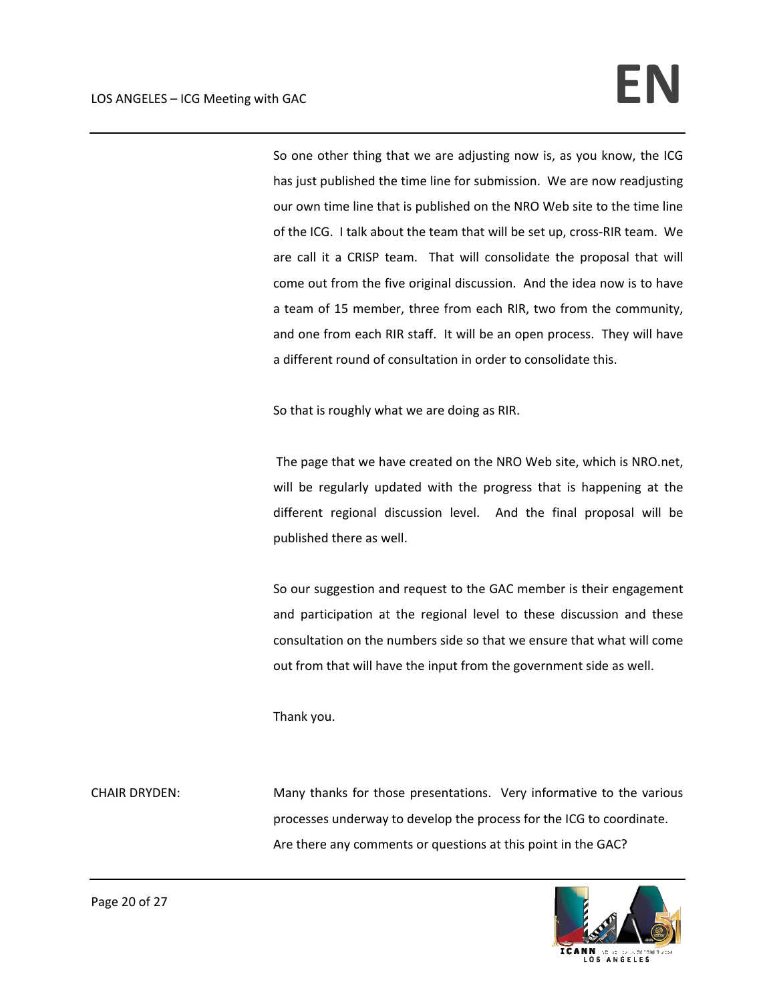So one other thing that we are adjusting now is, as you know, the ICG has just published the time line for submission. We are now readjusting our own time line that is published on the NRO Web site to the time line of the ICG. I talk about the team that will be set up, cross‐RIR team. We are call it a CRISP team. That will consolidate the proposal that will come out from the five original discussion. And the idea now is to have a team of 15 member, three from each RIR, two from the community, and one from each RIR staff. It will be an open process. They will have a different round of consultation in order to consolidate this.

So that is roughly what we are doing as RIR.

The page that we have created on the NRO Web site, which is NRO.net, will be regularly updated with the progress that is happening at the different regional discussion level. And the final proposal will be published there as well.

So our suggestion and request to the GAC member is their engagement and participation at the regional level to these discussion and these consultation on the numbers side so that we ensure that what will come out from that will have the input from the government side as well.

Thank you.

CHAIR DRYDEN: Many thanks for those presentations. Very informative to the various processes underway to develop the process for the ICG to coordinate. Are there any comments or questions at this point in the GAC?

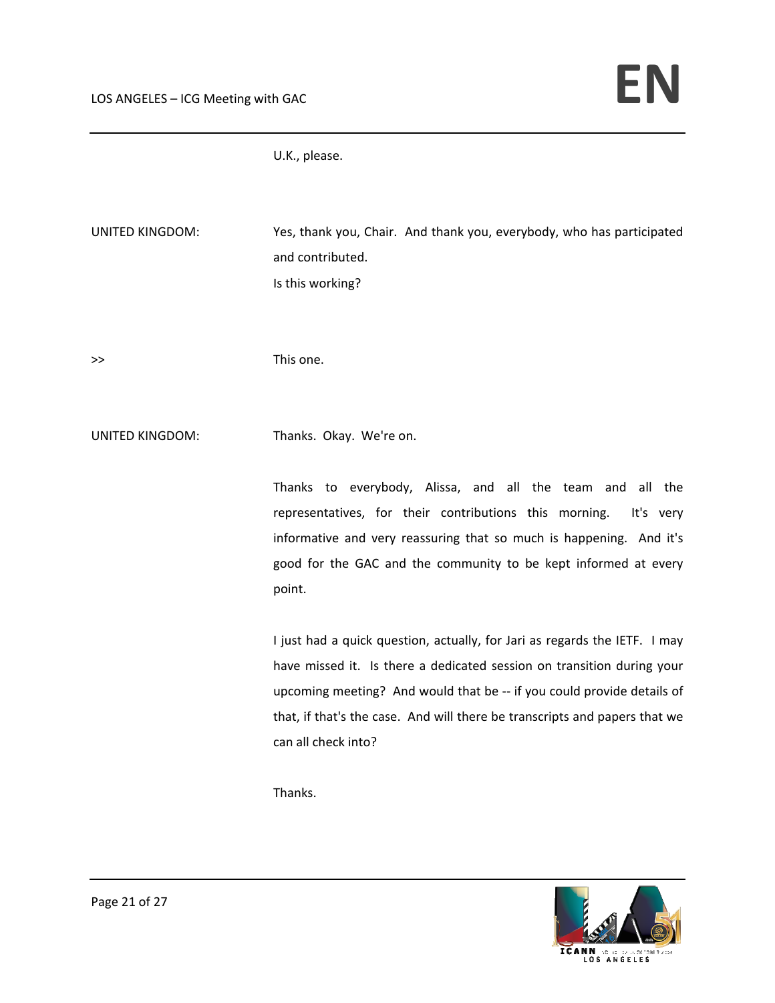U.K., please.

| Is this working?                                                                                                                                                                                                                                                                                                                    |
|-------------------------------------------------------------------------------------------------------------------------------------------------------------------------------------------------------------------------------------------------------------------------------------------------------------------------------------|
| This one.                                                                                                                                                                                                                                                                                                                           |
| Thanks. Okay. We're on.                                                                                                                                                                                                                                                                                                             |
| Thanks to everybody, Alissa, and all the team and all the<br>representatives, for their contributions this morning.<br>It's very<br>informative and very reassuring that so much is happening. And it's<br>good for the GAC and the community to be kept informed at every<br>point.                                                |
| I just had a quick question, actually, for Jari as regards the IETF. I may<br>have missed it. Is there a dedicated session on transition during your<br>upcoming meeting? And would that be -- if you could provide details of<br>that, if that's the case. And will there be transcripts and papers that we<br>can all check into? |
|                                                                                                                                                                                                                                                                                                                                     |

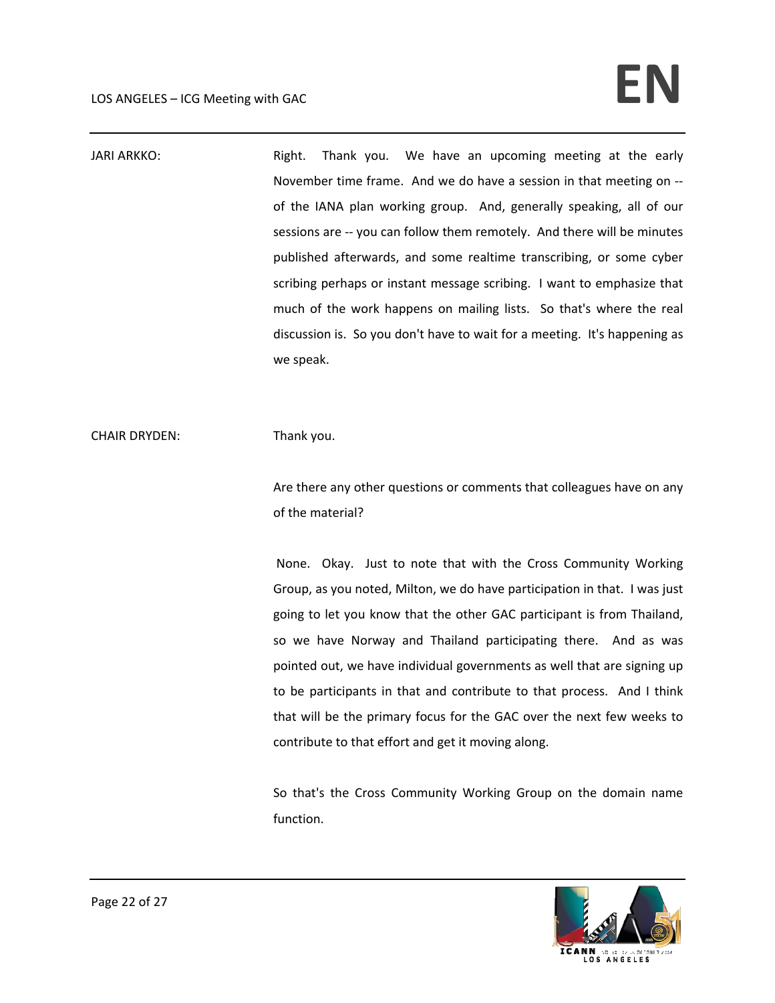## LOS ANGELES – ICG Meeting with GAC **EN**

JARI ARKKO: **Bright.** Thank you. We have an upcoming meeting at the early November time frame. And we do have a session in that meeting on ‐‐ of the IANA plan working group. And, generally speaking, all of our sessions are -- you can follow them remotely. And there will be minutes published afterwards, and some realtime transcribing, or some cyber scribing perhaps or instant message scribing. I want to emphasize that much of the work happens on mailing lists. So that's where the real discussion is. So you don't have to wait for a meeting. It's happening as we speak.

CHAIR DRYDEN: Thank you.

Are there any other questions or comments that colleagues have on any of the material?

None. Okay. Just to note that with the Cross Community Working Group, as you noted, Milton, we do have participation in that. I was just going to let you know that the other GAC participant is from Thailand, so we have Norway and Thailand participating there. And as was pointed out, we have individual governments as well that are signing up to be participants in that and contribute to that process. And I think that will be the primary focus for the GAC over the next few weeks to contribute to that effort and get it moving along.

So that's the Cross Community Working Group on the domain name function.

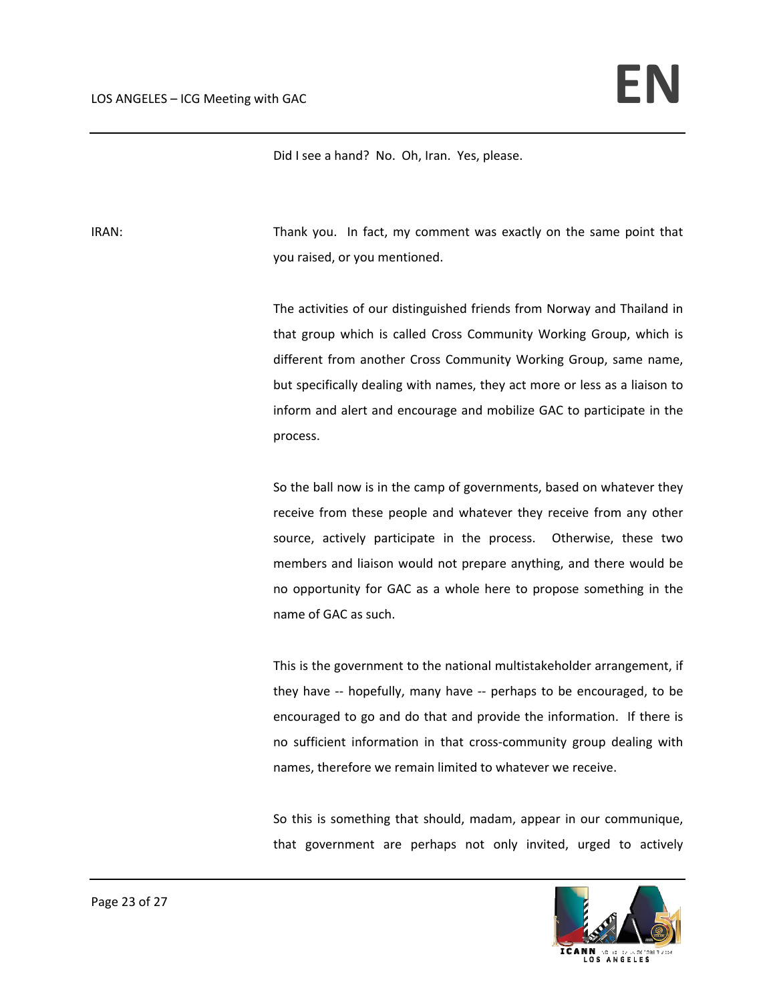Did I see a hand? No. Oh, Iran. Yes, please.

IRAN: Thank you. In fact, my comment was exactly on the same point that you raised, or you mentioned.

> The activities of our distinguished friends from Norway and Thailand in that group which is called Cross Community Working Group, which is different from another Cross Community Working Group, same name, but specifically dealing with names, they act more or less as a liaison to inform and alert and encourage and mobilize GAC to participate in the process.

> So the ball now is in the camp of governments, based on whatever they receive from these people and whatever they receive from any other source, actively participate in the process. Otherwise, these two members and liaison would not prepare anything, and there would be no opportunity for GAC as a whole here to propose something in the name of GAC as such.

> This is the government to the national multistakeholder arrangement, if they have ‐‐ hopefully, many have ‐‐ perhaps to be encouraged, to be encouraged to go and do that and provide the information. If there is no sufficient information in that cross‐community group dealing with names, therefore we remain limited to whatever we receive.

> So this is something that should, madam, appear in our communique, that government are perhaps not only invited, urged to actively

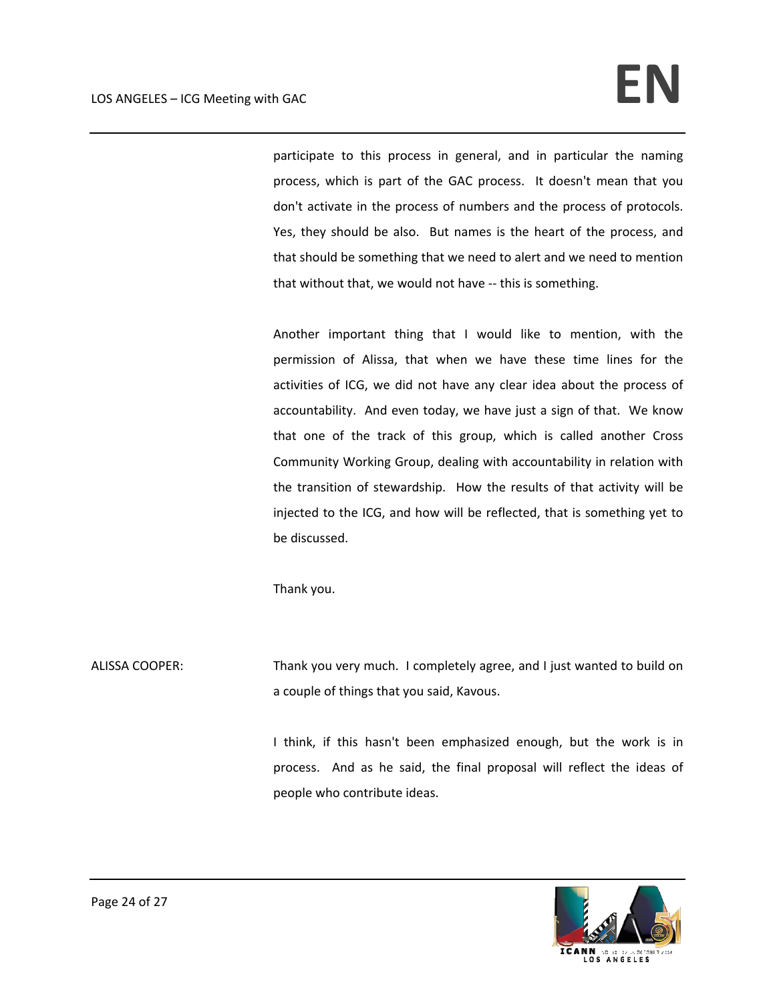participate to this process in general, and in particular the naming process, which is part of the GAC process. It doesn't mean that you don't activate in the process of numbers and the process of protocols. Yes, they should be also. But names is the heart of the process, and that should be something that we need to alert and we need to mention that without that, we would not have ‐‐ this is something.

Another important thing that I would like to mention, with the permission of Alissa, that when we have these time lines for the activities of ICG, we did not have any clear idea about the process of accountability. And even today, we have just a sign of that. We know that one of the track of this group, which is called another Cross Community Working Group, dealing with accountability in relation with the transition of stewardship. How the results of that activity will be injected to the ICG, and how will be reflected, that is something yet to be discussed.

Thank you.

ALISSA COOPER: Thank you very much. I completely agree, and I just wanted to build on a couple of things that you said, Kavous.

> I think, if this hasn't been emphasized enough, but the work is in process. And as he said, the final proposal will reflect the ideas of people who contribute ideas.

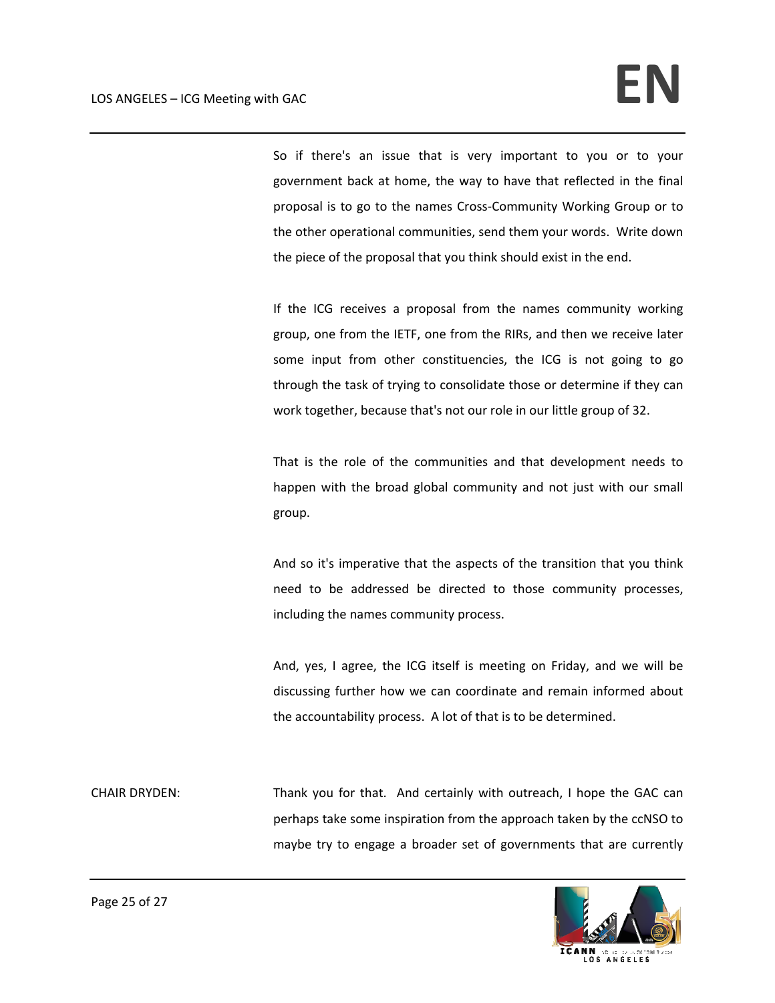So if there's an issue that is very important to you or to your government back at home, the way to have that reflected in the final proposal is to go to the names Cross‐Community Working Group or to the other operational communities, send them your words. Write down the piece of the proposal that you think should exist in the end.

If the ICG receives a proposal from the names community working group, one from the IETF, one from the RIRs, and then we receive later some input from other constituencies, the ICG is not going to go through the task of trying to consolidate those or determine if they can work together, because that's not our role in our little group of 32.

That is the role of the communities and that development needs to happen with the broad global community and not just with our small group.

And so it's imperative that the aspects of the transition that you think need to be addressed be directed to those community processes, including the names community process.

And, yes, I agree, the ICG itself is meeting on Friday, and we will be discussing further how we can coordinate and remain informed about the accountability process. A lot of that is to be determined.

CHAIR DRYDEN: Thank you for that. And certainly with outreach, I hope the GAC can perhaps take some inspiration from the approach taken by the ccNSO to maybe try to engage a broader set of governments that are currently

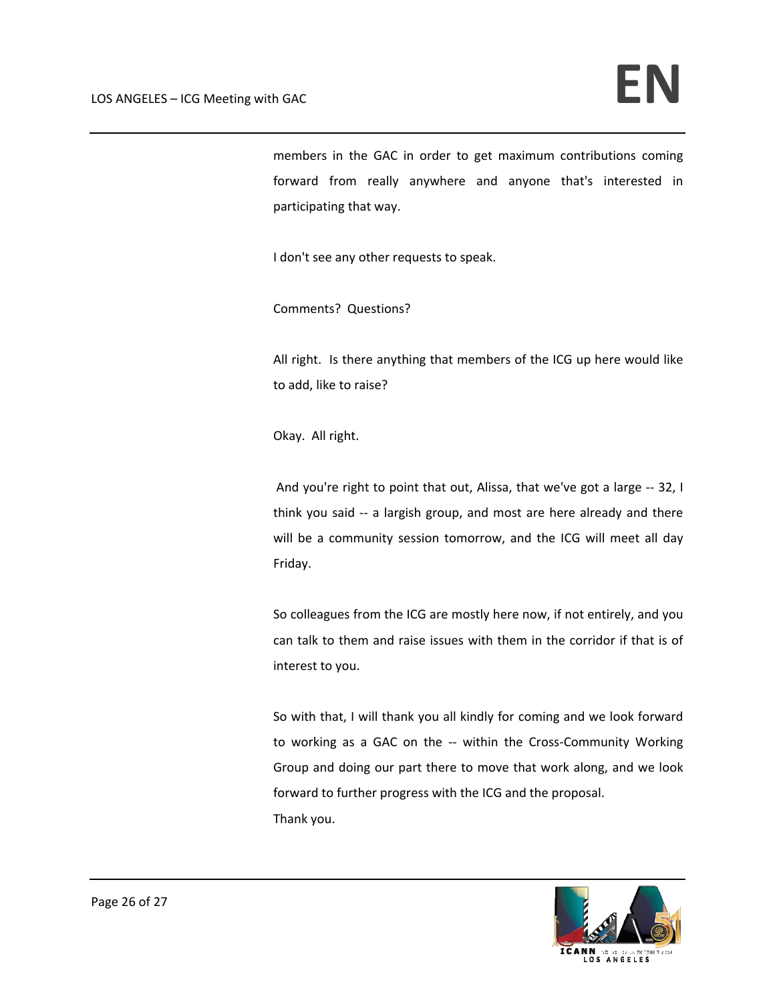members in the GAC in order to get maximum contributions coming forward from really anywhere and anyone that's interested in participating that way.

I don't see any other requests to speak.

Comments? Questions?

All right. Is there anything that members of the ICG up here would like to add, like to raise?

Okay. All right.

And you're right to point that out, Alissa, that we've got a large ‐‐ 32, I think you said -- a largish group, and most are here already and there will be a community session tomorrow, and the ICG will meet all day Friday.

So colleagues from the ICG are mostly here now, if not entirely, and you can talk to them and raise issues with them in the corridor if that is of interest to you.

So with that, I will thank you all kindly for coming and we look forward to working as a GAC on the -- within the Cross-Community Working Group and doing our part there to move that work along, and we look forward to further progress with the ICG and the proposal. Thank you.